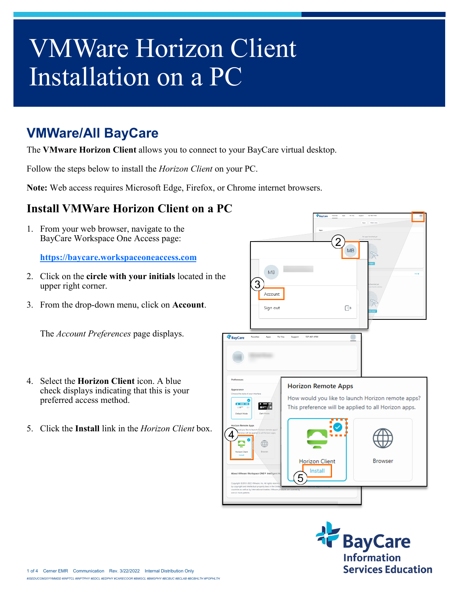## VMWare Horizon Client Installation on a PC

## **VMWare/All BayCare**

The **VMware Horizon Client** allows you to connect to your BayCare virtual desktop.

Follow the steps below to install the *Horizon Client* on your PC.

**Note:** Web access requires Microsoft Edge, Firefox, or Chrome internet browsers.

## **Install VMWare Horizon Client on a PC**

1. From your web browser, navigate to the BayCare Workspace One Access page:

**<https://baycare.workspaceoneaccess.com>**

- 2. Click on the **circle with your initials** located in the upper right corner.
- 3. From the drop-down menu, click on **Account**.

The *Account Preferences* page displays.

- 4. Select the **Horizon Client** icon. A blue check displays indicating that this is your preferred access method.
- 5. Click the **Install** link in the *Horizon Client* box.



**BayCare** Information **Services Education**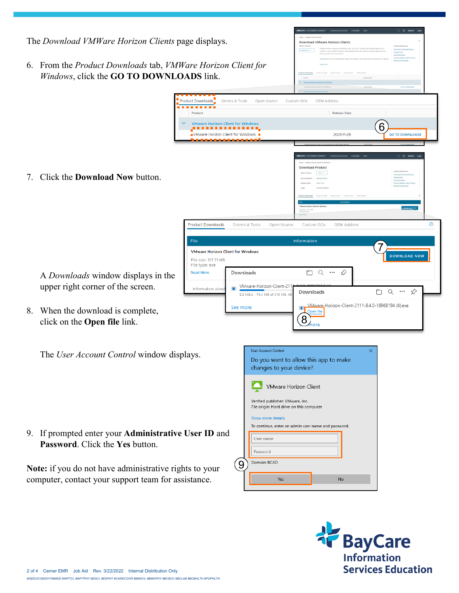

**Information** 

**Services Education** 

2 of 4 Cerner EMR Job Aid Rev. 3/22/2022 Internal Distribution Only *#ISEDUCOM20YYMMDD #INPTCL #INPTPHY #EDCL #EDPHY #CARECOOR #BMGCL #BMGPHY #BCBUC #BCLAB #BCBHLTH #POPHLTH*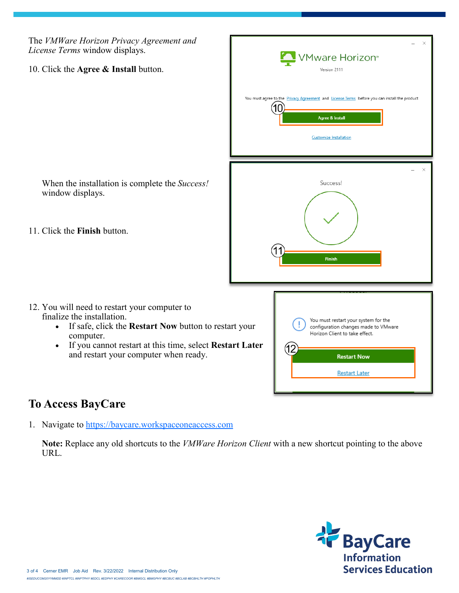The *VMWare Horizon Privacy Agreement and License Terms* window displays.

10. Click the **Agree & Install** button.

When the installation is complete the *Success!*  window displays.

11. Click the **Finish** button.

- 12. You will need to restart your computer to finalize the installation.
	- If safe, click the **Restart Now** button to restart your computer.
	- If you cannot restart at this time, select **Restart Later**  and restart your computer when ready.



## **To Access BayCare**

1. Navigate to<https://baycare.workspaceoneaccess.com>

**Note:** Replace any old shortcuts to the *VMWare Horizon Client* with a new shortcut pointing to the above URL.